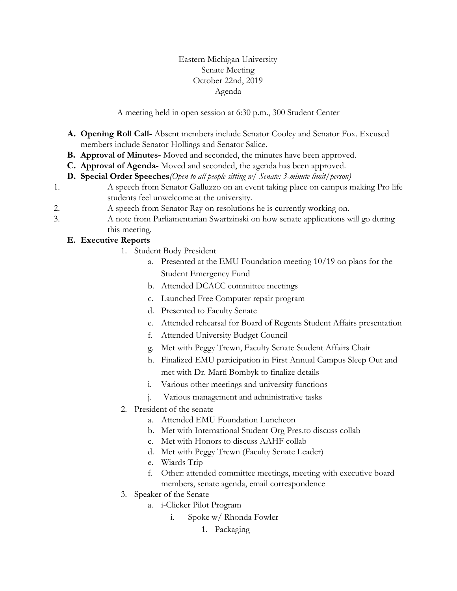## Eastern Michigan University Senate Meeting October 22nd, 2019 Agenda

A meeting held in open session at 6:30 p.m., 300 Student Center

- **A. Opening Roll Call-** Absent members include Senator Cooley and Senator Fox. Excused members include Senator Hollings and Senator Salice.
- **B. Approval of Minutes-** Moved and seconded, the minutes have been approved.
- **C. Approval of Agenda-** Moved and seconded, the agenda has been approved.
- **D. Special Order Speeches***(Open to all people sitting w/ Senate: 3-minute limit/person)*
- 1. A speech from Senator Galluzzo on an event taking place on campus making Pro life students feel unwelcome at the university.
- 2. A speech from Senator Ray on resolutions he is currently working on.
- 3. A note from Parliamentarian Swartzinski on how senate applications will go during this meeting.

## **E. Executive Reports**

- 1. Student Body President
	- a. Presented at the EMU Foundation meeting 10/19 on plans for the Student Emergency Fund
	- b. Attended DCACC committee meetings
	- c. Launched Free Computer repair program
	- d. Presented to Faculty Senate
	- e. Attended rehearsal for Board of Regents Student Affairs presentation
	- f. Attended University Budget Council
	- g. Met with Peggy Trewn, Faculty Senate Student Affairs Chair
	- h. Finalized EMU participation in First Annual Campus Sleep Out and met with Dr. Marti Bombyk to finalize details
	- i. Various other meetings and university functions
	- j. Various management and administrative tasks
- 2. President of the senate
	- a. Attended EMU Foundation Luncheon
	- b. Met with International Student Org Pres.to discuss collab
	- c. Met with Honors to discuss AAHF collab
	- d. Met with Peggy Trewn (Faculty Senate Leader)
	- e. Wiards Trip
	- f. Other: attended committee meetings, meeting with executive board members, senate agenda, email correspondence
- 3. Speaker of the Senate
	- a. i-Clicker Pilot Program
		- i. Spoke w/ Rhonda Fowler
			- 1. Packaging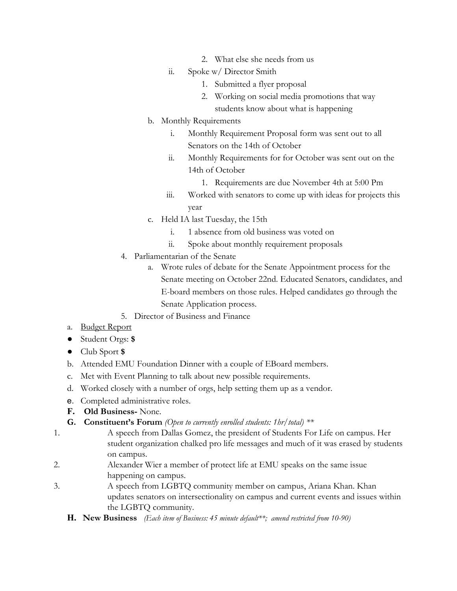- 2. What else she needs from us
- ii. Spoke w/ Director Smith
	- 1. Submitted a flyer proposal
	- 2. Working on social media promotions that way students know about what is happening
- b. Monthly Requirements
	- i. Monthly Requirement Proposal form was sent out to all Senators on the 14th of October
	- ii. Monthly Requirements for for October was sent out on the 14th of October
		- 1. Requirements are due November 4th at 5:00 Pm
	- iii. Worked with senators to come up with ideas for projects this year
- c. Held IA last Tuesday, the 15th
	- i. 1 absence from old business was voted on
	- ii. Spoke about monthly requirement proposals
- 4. Parliamentarian of the Senate
	- a. Wrote rules of debate for the Senate Appointment process for the Senate meeting on October 22nd. Educated Senators, candidates, and E-board members on those rules. Helped candidates go through the Senate Application process.
- 5. Director of Business and Finance
- a. Budget Report
- Student Orgs: **\$**
- Club Sport **\$**
- b. Attended EMU Foundation Dinner with a couple of EBoard members.
- c. Met with Event Planning to talk about new possible requirements.
- d. Worked closely with a number of orgs, help setting them up as a vendor.
- e. Completed administrative roles.
- **F. Old Business-** None.
- **G. Constituent's Forum** *(Open to currently enrolled students: 1hr/total) \*\**
- 1. A speech from Dallas Gomez, the president of Students For Life on campus. Her student organization chalked pro life messages and much of it was erased by students on campus.
- 2. Alexander Wier a member of protect life at EMU speaks on the same issue happening on campus.
- 3. A speech from LGBTQ community member on campus, Ariana Khan. Khan updates senators on intersectionality on campus and current events and issues within the LGBTQ community.
	- **H. New Business** *(Each item of Business: 45 minute default\*\*; amend restricted from 10-90)*